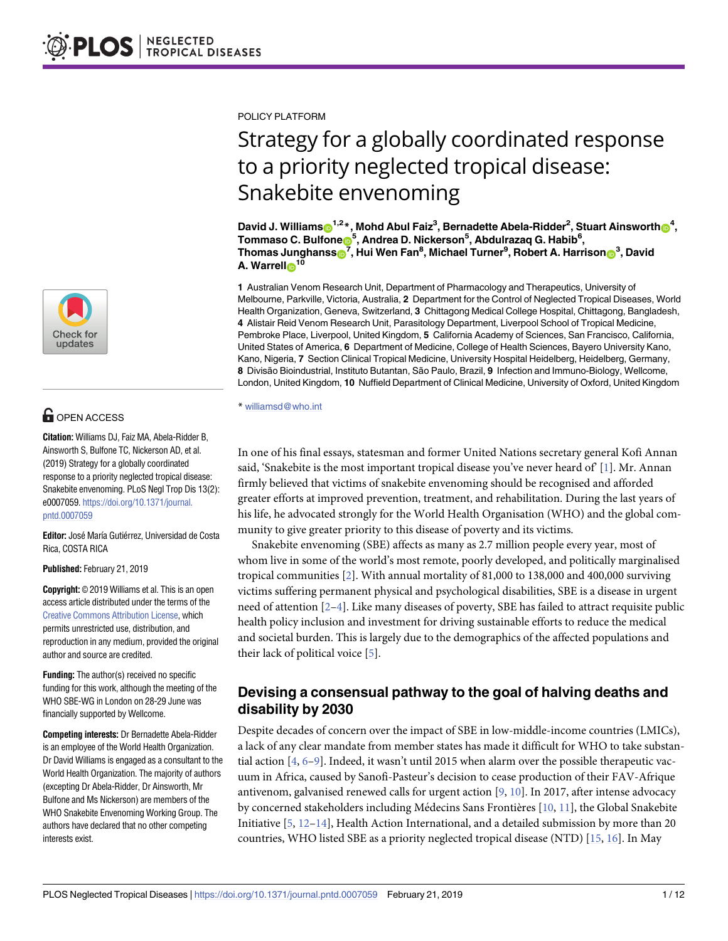

## **G** OPEN ACCESS

**Citation:** Williams DJ, Faiz MA, Abela-Ridder B, Ainsworth S, Bulfone TC, Nickerson AD, et al. (2019) Strategy for a globally coordinated response to a priority neglected tropical disease: Snakebite envenoming. PLoS Negl Trop Dis 13(2): e0007059. [https://doi.org/10.1371/journal.](https://doi.org/10.1371/journal.pntd.0007059) [pntd.0007059](https://doi.org/10.1371/journal.pntd.0007059)

**Editor:** José María Gutiérrez, Universidad de Costa Rica, COSTA RICA

**Published:** February 21, 2019

**Copyright:** © 2019 Williams et al. This is an open access article distributed under the terms of the Creative Commons [Attribution](http://creativecommons.org/licenses/by/4.0/) License, which permits unrestricted use, distribution, and reproduction in any medium, provided the original author and source are credited.

**Funding:** The author(s) received no specific funding for this work, although the meeting of the WHO SBE-WG in London on 28-29 June was financially supported by Wellcome.

**Competing interests:** Dr Bernadette Abela-Ridder is an employee of the World Health Organization. Dr David Williams is engaged as a consultant to the World Health Organization. The majority of authors (excepting Dr Abela-Ridder, Dr Ainsworth, Mr Bulfone and Ms Nickerson) are members of the WHO Snakebite Envenoming Working Group. The authors have declared that no other competing interests exist.

<span id="page-0-0"></span>POLICY PLATFORM

# Strategy for a globally coordinated response to a priority neglected tropical disease: Snakebite envenoming

 $\Delta$  **David J. Williams** $\textbf{O}^{1,2}$  $^*$ **, Mohd Abul Faiz** $^3$ **, Bernadette Abela-Ridder** $^2$ **, Stuart Ainsworth** $\textbf{O}^{4},$  $\textrm{Tommaso C.}\n$  Bulfone $\bullet$ <sup>5</sup>, Andrea D. Nickerson $^5$ , Abdulrazaq G. Habib $^6$ ,  $\mathbf{F}$  Thomas Junghanss $\mathbf{D}^7$ , Hui Wen Fan $^8$ , Michael Turner $^9$ , Robert A. Harrison $\mathbf{D}^3$ , David **A.** Warrell<sup>1</sup>

**1** Australian Venom Research Unit, Department of Pharmacology and Therapeutics, University of Melbourne, Parkville, Victoria, Australia, **2** Department for the Control of Neglected Tropical Diseases, World Health Organization, Geneva, Switzerland, **3** Chittagong Medical College Hospital, Chittagong, Bangladesh, **4** Alistair Reid Venom Research Unit, Parasitology Department, Liverpool School of Tropical Medicine, Pembroke Place, Liverpool, United Kingdom, **5** California Academy of Sciences, San Francisco, California, United States of America, **6** Department of Medicine, College of Health Sciences, Bayero University Kano, Kano, Nigeria, **7** Section Clinical Tropical Medicine, University Hospital Heidelberg, Heidelberg, Germany, **8** Divisão Bioindustrial, Instituto Butantan, São Paulo, Brazil, **9** Infection and Immuno-Biology, Wellcome, London, United Kingdom, **10** Nuffield Department of Clinical Medicine, University of Oxford, United Kingdom

\* williamsd@who.int

In one of his final essays, statesman and former United Nations secretary general Kofi Annan said, 'Snakebite is the most important tropical disease you've never heard of  $[1]$  $[1]$ . Mr. Annan firmly believed that victims of snakebite envenoming should be recognised and afforded greater efforts at improved prevention, treatment, and rehabilitation. During the last years of his life, he advocated strongly for the World Health Organisation (WHO) and the global community to give greater priority to this disease of poverty and its victims.

Snakebite envenoming (SBE) affects as many as 2.7 million people every year, most of whom live in some of the world's most remote, poorly developed, and politically marginalised tropical communities  $[2]$ . With annual mortality of 81,000 to 138,000 and 400,000 surviving victims suffering permanent physical and psychological disabilities, SBE is a disease in urgent need of attention [\[2–4\]](#page-8-0). Like many diseases of poverty, SBE has failed to attract requisite public health policy inclusion and investment for driving sustainable efforts to reduce the medical and societal burden. This is largely due to the demographics of the affected populations and their lack of political voice [\[5\]](#page-8-0).

## **Devising a consensual pathway to the goal of halving deaths and disability by 2030**

Despite decades of concern over the impact of SBE in low-middle-income countries (LMICs), a lack of any clear mandate from member states has made it difficult for WHO to take substantial action [\[4,](#page-8-0) [6–9\]](#page-8-0). Indeed, it wasn't until 2015 when alarm over the possible therapeutic vacuum in Africa, caused by Sanofi-Pasteur's decision to cease production of their FAV-Afrique antivenom, galvanised renewed calls for urgent action [[9](#page-8-0), [10](#page-8-0)]. In 2017, after intense advocacy by concerned stakeholders including Médecins Sans Frontières [\[10,](#page-8-0) [11\]](#page-8-0), the Global Snakebite Initiative [[5](#page-8-0), [12](#page-8-0)[–14\]](#page-9-0), Health Action International, and a detailed submission by more than 20 countries, WHO listed SBE as a priority neglected tropical disease (NTD) [\[15,](#page-9-0) [16\]](#page-9-0). In May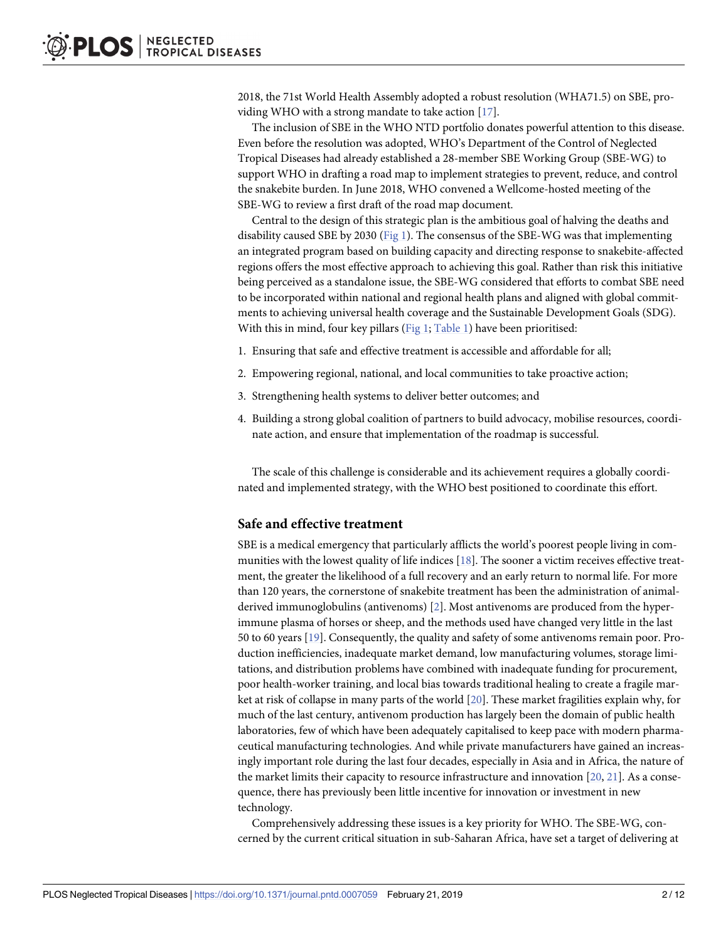<span id="page-1-0"></span>2018, the 71st World Health Assembly adopted a robust resolution (WHA71.5) on SBE, providing WHO with a strong mandate to take action [\[17\]](#page-9-0).

The inclusion of SBE in the WHO NTD portfolio donates powerful attention to this disease. Even before the resolution was adopted, WHO's Department of the Control of Neglected Tropical Diseases had already established a 28-member SBE Working Group (SBE-WG) to support WHO in drafting a road map to implement strategies to prevent, reduce, and control the snakebite burden. In June 2018, WHO convened a Wellcome-hosted meeting of the SBE-WG to review a first draft of the road map document.

Central to the design of this strategic plan is the ambitious goal of halving the deaths and disability caused SBE by 2030 ([Fig](#page-2-0) 1). The consensus of the SBE-WG was that implementing an integrated program based on building capacity and directing response to snakebite-affected regions offers the most effective approach to achieving this goal. Rather than risk this initiative being perceived as a standalone issue, the SBE-WG considered that efforts to combat SBE need to be incorporated within national and regional health plans and aligned with global commitments to achieving universal health coverage and the Sustainable Development Goals (SDG). With this in mind, four key pillars [\(Fig](#page-2-0) 1; [Table](#page-2-0) 1) have been prioritised:

- 1. Ensuring that safe and effective treatment is accessible and affordable for all;
- 2. Empowering regional, national, and local communities to take proactive action;
- 3. Strengthening health systems to deliver better outcomes; and
- 4. Building a strong global coalition of partners to build advocacy, mobilise resources, coordinate action, and ensure that implementation of the roadmap is successful.

The scale of this challenge is considerable and its achievement requires a globally coordinated and implemented strategy, with the WHO best positioned to coordinate this effort.

#### **Safe and effective treatment**

SBE is a medical emergency that particularly afflicts the world's poorest people living in communities with the lowest quality of life indices  $[18]$ . The sooner a victim receives effective treatment, the greater the likelihood of a full recovery and an early return to normal life. For more than 120 years, the cornerstone of snakebite treatment has been the administration of animalderived immunoglobulins (antivenoms) [\[2\]](#page-8-0). Most antivenoms are produced from the hyperimmune plasma of horses or sheep, and the methods used have changed very little in the last 50 to 60 years [\[19\]](#page-9-0). Consequently, the quality and safety of some antivenoms remain poor. Production inefficiencies, inadequate market demand, low manufacturing volumes, storage limitations, and distribution problems have combined with inadequate funding for procurement, poor health-worker training, and local bias towards traditional healing to create a fragile market at risk of collapse in many parts of the world [[20](#page-9-0)]. These market fragilities explain why, for much of the last century, antivenom production has largely been the domain of public health laboratories, few of which have been adequately capitalised to keep pace with modern pharmaceutical manufacturing technologies. And while private manufacturers have gained an increasingly important role during the last four decades, especially in Asia and in Africa, the nature of the market limits their capacity to resource infrastructure and innovation  $[20, 21]$  $[20, 21]$  $[20, 21]$  $[20, 21]$ . As a consequence, there has previously been little incentive for innovation or investment in new technology.

Comprehensively addressing these issues is a key priority for WHO. The SBE-WG, concerned by the current critical situation in sub-Saharan Africa, have set a target of delivering at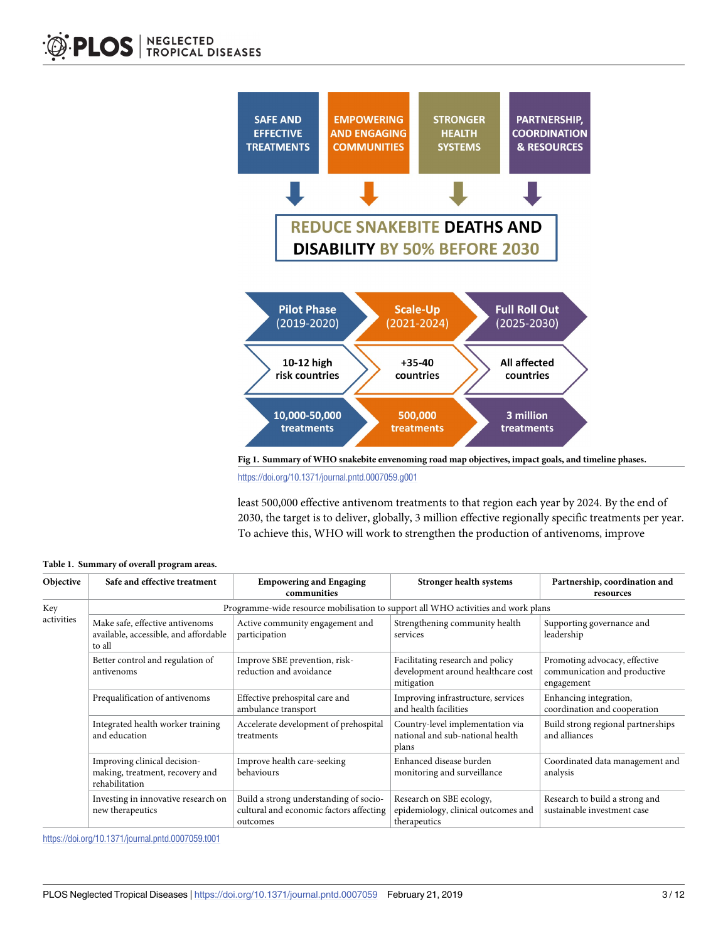<span id="page-2-0"></span>

**[Fig](#page-1-0) 1. Summary of WHO snakebite envenoming road map objectives, impact goals, and timeline phases.**

<https://doi.org/10.1371/journal.pntd.0007059.g001>

least 500,000 effective antivenom treatments to that region each year by 2024. By the end of 2030, the target is to deliver, globally, 3 million effective regionally specific treatments per year. To achieve this, WHO will work to strengthen the production of antivenoms, improve

| Objective         | Safe and effective treatment                                                       | <b>Empowering and Engaging</b><br>communities                                                 | <b>Stronger health systems</b>                                                       | Partnership, coordination and<br>resources                                  |
|-------------------|------------------------------------------------------------------------------------|-----------------------------------------------------------------------------------------------|--------------------------------------------------------------------------------------|-----------------------------------------------------------------------------|
| Key<br>activities | Programme-wide resource mobilisation to support all WHO activities and work plans  |                                                                                               |                                                                                      |                                                                             |
|                   | Make safe, effective antivenoms<br>available, accessible, and affordable<br>to all | Active community engagement and<br>participation                                              | Strengthening community health<br>services                                           | Supporting governance and<br>leadership                                     |
|                   | Better control and regulation of<br>antivenoms                                     | Improve SBE prevention, risk-<br>reduction and avoidance                                      | Facilitating research and policy<br>development around healthcare cost<br>mitigation | Promoting advocacy, effective<br>communication and productive<br>engagement |
|                   | Prequalification of antivenoms                                                     | Effective prehospital care and<br>ambulance transport                                         | Improving infrastructure, services<br>and health facilities                          | Enhancing integration,<br>coordination and cooperation                      |
|                   | Integrated health worker training<br>and education                                 | Accelerate development of prehospital<br>treatments                                           | Country-level implementation via<br>national and sub-national health<br>plans        | Build strong regional partnerships<br>and alliances                         |
|                   | Improving clinical decision-<br>making, treatment, recovery and<br>rehabilitation  | Improve health care-seeking<br>behaviours                                                     | Enhanced disease burden<br>monitoring and surveillance                               | Coordinated data management and<br>analysis                                 |
|                   | Investing in innovative research on<br>new therapeutics                            | Build a strong understanding of socio-<br>cultural and economic factors affecting<br>outcomes | Research on SBE ecology,<br>epidemiology, clinical outcomes and<br>therapeutics      | Research to build a strong and<br>sustainable investment case               |

**[Table](#page-1-0) 1. Summary of overall program areas.**

<https://doi.org/10.1371/journal.pntd.0007059.t001>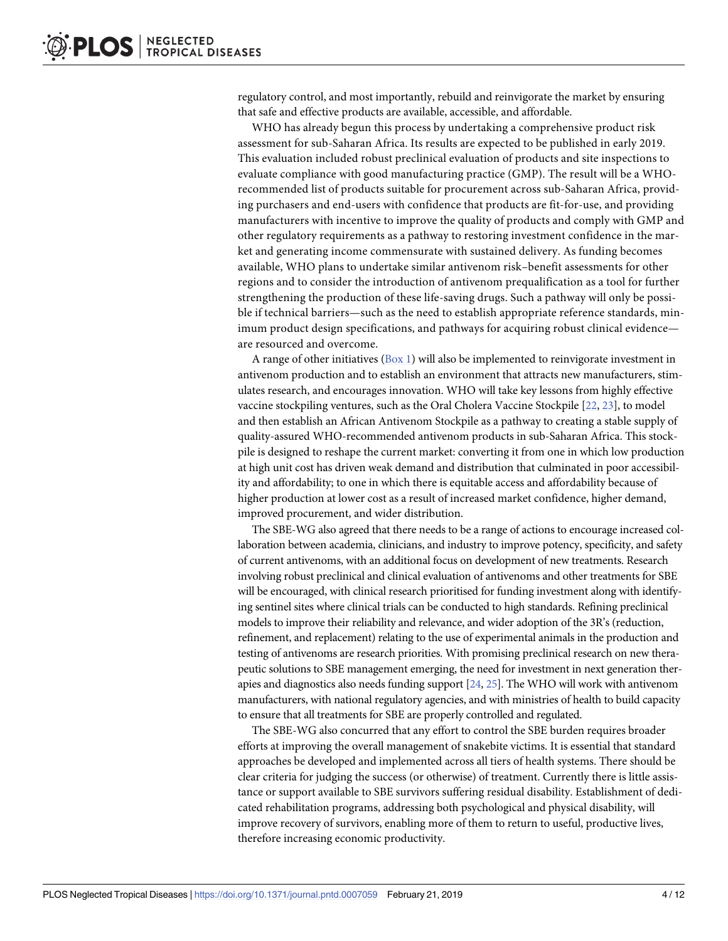<span id="page-3-0"></span>regulatory control, and most importantly, rebuild and reinvigorate the market by ensuring that safe and effective products are available, accessible, and affordable.

WHO has already begun this process by undertaking a comprehensive product risk assessment for sub-Saharan Africa. Its results are expected to be published in early 2019. This evaluation included robust preclinical evaluation of products and site inspections to evaluate compliance with good manufacturing practice (GMP). The result will be a WHOrecommended list of products suitable for procurement across sub-Saharan Africa, providing purchasers and end-users with confidence that products are fit-for-use, and providing manufacturers with incentive to improve the quality of products and comply with GMP and other regulatory requirements as a pathway to restoring investment confidence in the market and generating income commensurate with sustained delivery. As funding becomes available, WHO plans to undertake similar antivenom risk–benefit assessments for other regions and to consider the introduction of antivenom prequalification as a tool for further strengthening the production of these life-saving drugs. Such a pathway will only be possible if technical barriers—such as the need to establish appropriate reference standards, minimum product design specifications, and pathways for acquiring robust clinical evidence are resourced and overcome.

A range of other initiatives  $(Box 1)$  $(Box 1)$  $(Box 1)$  will also be implemented to reinvigorate investment in antivenom production and to establish an environment that attracts new manufacturers, stimulates research, and encourages innovation. WHO will take key lessons from highly effective vaccine stockpiling ventures, such as the Oral Cholera Vaccine Stockpile [[22](#page-9-0), [23](#page-9-0)], to model and then establish an African Antivenom Stockpile as a pathway to creating a stable supply of quality-assured WHO-recommended antivenom products in sub-Saharan Africa. This stockpile is designed to reshape the current market: converting it from one in which low production at high unit cost has driven weak demand and distribution that culminated in poor accessibility and affordability; to one in which there is equitable access and affordability because of higher production at lower cost as a result of increased market confidence, higher demand, improved procurement, and wider distribution.

The SBE-WG also agreed that there needs to be a range of actions to encourage increased collaboration between academia, clinicians, and industry to improve potency, specificity, and safety of current antivenoms, with an additional focus on development of new treatments. Research involving robust preclinical and clinical evaluation of antivenoms and other treatments for SBE will be encouraged, with clinical research prioritised for funding investment along with identifying sentinel sites where clinical trials can be conducted to high standards. Refining preclinical models to improve their reliability and relevance, and wider adoption of the 3R's (reduction, refinement, and replacement) relating to the use of experimental animals in the production and testing of antivenoms are research priorities. With promising preclinical research on new therapeutic solutions to SBE management emerging, the need for investment in next generation therapies and diagnostics also needs funding support [\[24,](#page-9-0) [25](#page-9-0)]. The WHO will work with antivenom manufacturers, with national regulatory agencies, and with ministries of health to build capacity to ensure that all treatments for SBE are properly controlled and regulated.

The SBE-WG also concurred that any effort to control the SBE burden requires broader efforts at improving the overall management of snakebite victims. It is essential that standard approaches be developed and implemented across all tiers of health systems. There should be clear criteria for judging the success (or otherwise) of treatment. Currently there is little assistance or support available to SBE survivors suffering residual disability. Establishment of dedicated rehabilitation programs, addressing both psychological and physical disability, will improve recovery of survivors, enabling more of them to return to useful, productive lives, therefore increasing economic productivity.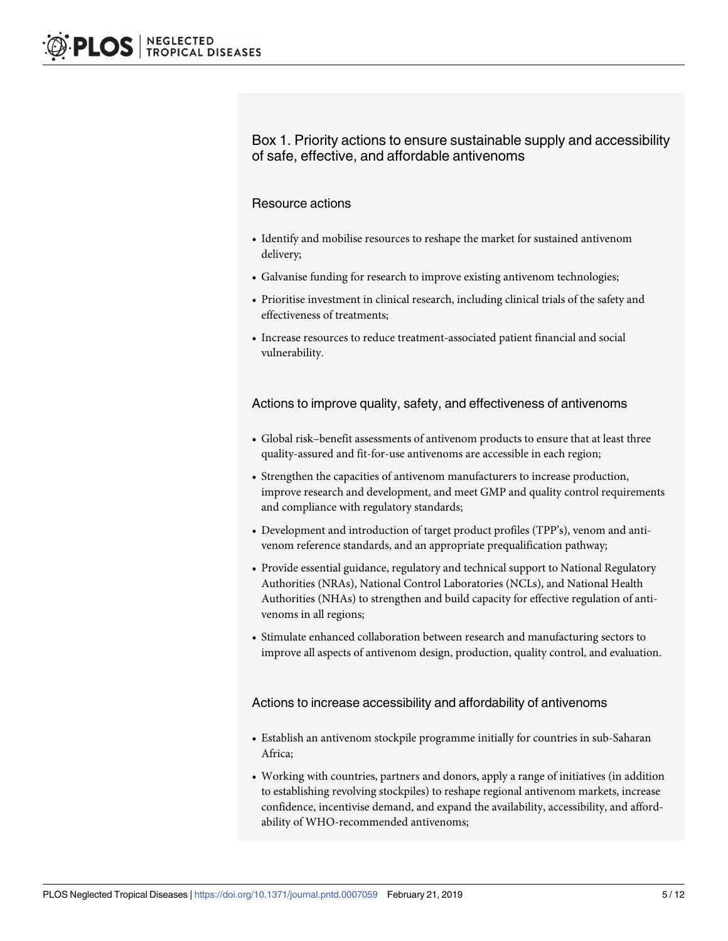## <span id="page-4-0"></span>Box 1. Priority actions to ensure sustainable supply and accessibility of safe, effective, and affordable antivenoms

#### Resource actions

- Identify and mobilise resources to reshape the market for sustained antivenom delivery;
- Galvanise funding for research to improve existing antivenom technologies;
- Prioritise investment in clinical research, including clinical trials of the safety and effectiveness of treatments;
- Increase resources to reduce treatment-associated patient financial and social vulnerability.

#### Actions to improve quality, safety, and effectiveness of antivenoms

- Global risk–benefit assessments of antivenom products to ensure that at least three quality-assured and fit-for-use antivenoms are accessible in each region;
- Strengthen the capacities of antivenom manufacturers to increase production, improve research and development, and meet GMP and quality control requirements and compliance with regulatory standards;
- Development and introduction of target product profiles (TPP's), venom and antivenom reference standards, and an appropriate prequalification pathway;
- Provide essential guidance, regulatory and technical support to National Regulatory Authorities (NRAs), National Control Laboratories (NCLs), and National Health Authorities (NHAs) to strengthen and build capacity for effective regulation of antivenoms in all regions;
- Stimulate enhanced collaboration between research and manufacturing sectors to improve all aspects of antivenom design, production, quality control, and evaluation.

#### Actions to increase accessibility and affordability of antivenoms

- Establish an antivenom stockpile programme initially for countries in sub-Saharan Africa;
- Working with countries, partners and donors, apply a range of initiatives (in addition to establishing revolving stockpiles) to reshape regional antivenom markets, increase confidence, incentivise demand, and expand the availability, accessibility, and affordability of WHO-recommended antivenoms;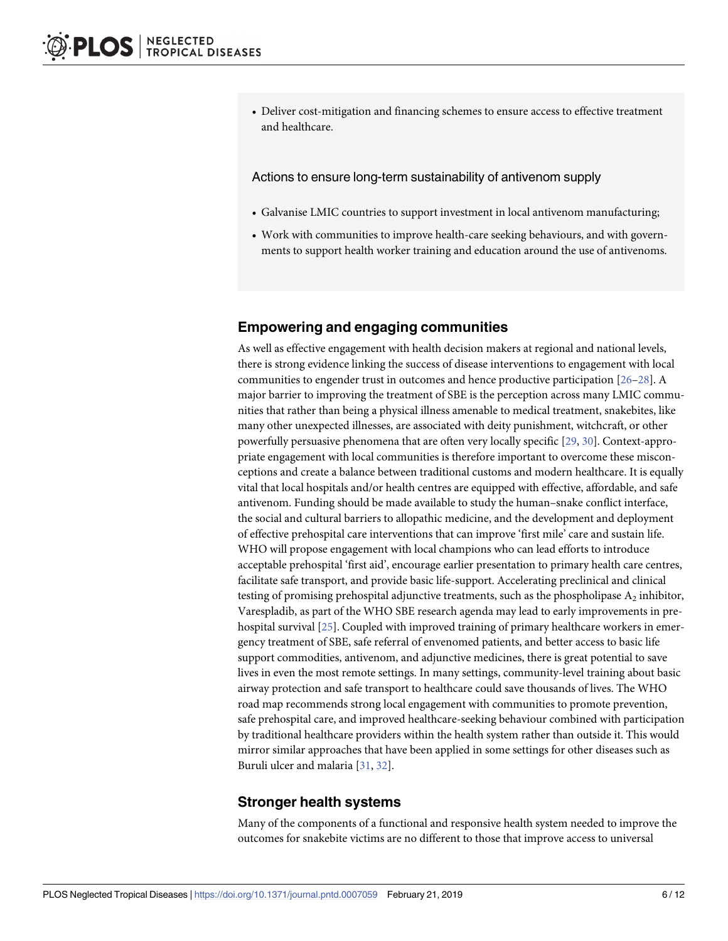<span id="page-5-0"></span>• Deliver cost-mitigation and financing schemes to ensure access to effective treatment and healthcare.

Actions to ensure long-term sustainability of antivenom supply

- Galvanise LMIC countries to support investment in local antivenom manufacturing;
- Work with communities to improve health-care seeking behaviours, and with governments to support health worker training and education around the use of antivenoms.

## **Empowering and engaging communities**

As well as effective engagement with health decision makers at regional and national levels, there is strong evidence linking the success of disease interventions to engagement with local communities to engender trust in outcomes and hence productive participation [\[26–28](#page-9-0)]. A major barrier to improving the treatment of SBE is the perception across many LMIC communities that rather than being a physical illness amenable to medical treatment, snakebites, like many other unexpected illnesses, are associated with deity punishment, witchcraft, or other powerfully persuasive phenomena that are often very locally specific [[29](#page-9-0), [30](#page-9-0)]. Context-appropriate engagement with local communities is therefore important to overcome these misconceptions and create a balance between traditional customs and modern healthcare. It is equally vital that local hospitals and/or health centres are equipped with effective, affordable, and safe antivenom. Funding should be made available to study the human–snake conflict interface, the social and cultural barriers to allopathic medicine, and the development and deployment of effective prehospital care interventions that can improve 'first mile' care and sustain life. WHO will propose engagement with local champions who can lead efforts to introduce acceptable prehospital 'first aid', encourage earlier presentation to primary health care centres, facilitate safe transport, and provide basic life-support. Accelerating preclinical and clinical testing of promising prehospital adjunctive treatments, such as the phospholipase  $A_2$  inhibitor, Varespladib, as part of the WHO SBE research agenda may lead to early improvements in pre-hospital survival [[25](#page-9-0)]. Coupled with improved training of primary healthcare workers in emergency treatment of SBE, safe referral of envenomed patients, and better access to basic life support commodities, antivenom, and adjunctive medicines, there is great potential to save lives in even the most remote settings. In many settings, community-level training about basic airway protection and safe transport to healthcare could save thousands of lives. The WHO road map recommends strong local engagement with communities to promote prevention, safe prehospital care, and improved healthcare-seeking behaviour combined with participation by traditional healthcare providers within the health system rather than outside it. This would mirror similar approaches that have been applied in some settings for other diseases such as Buruli ulcer and malaria [[31](#page-9-0), [32\]](#page-10-0).

## **Stronger health systems**

Many of the components of a functional and responsive health system needed to improve the outcomes for snakebite victims are no different to those that improve access to universal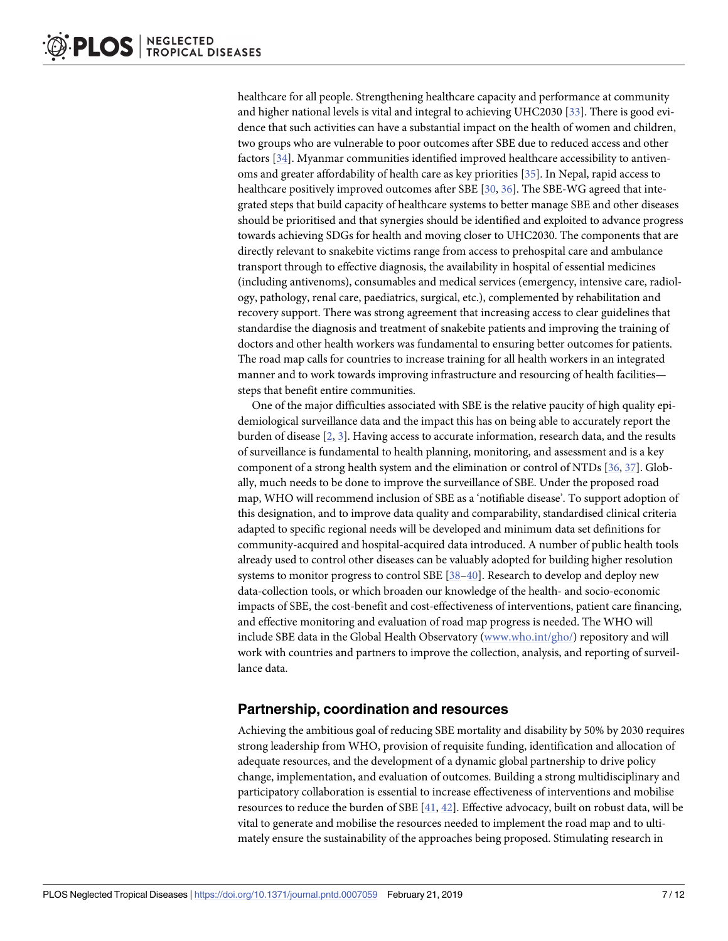<span id="page-6-0"></span>healthcare for all people. Strengthening healthcare capacity and performance at community and higher national levels is vital and integral to achieving UHC2030 [[33](#page-10-0)]. There is good evidence that such activities can have a substantial impact on the health of women and children, two groups who are vulnerable to poor outcomes after SBE due to reduced access and other factors [\[34\]](#page-10-0). Myanmar communities identified improved healthcare accessibility to antivenoms and greater affordability of health care as key priorities [\[35\]](#page-10-0). In Nepal, rapid access to healthcare positively improved outcomes after SBE [[30](#page-9-0), [36](#page-10-0)]. The SBE-WG agreed that integrated steps that build capacity of healthcare systems to better manage SBE and other diseases should be prioritised and that synergies should be identified and exploited to advance progress towards achieving SDGs for health and moving closer to UHC2030. The components that are directly relevant to snakebite victims range from access to prehospital care and ambulance transport through to effective diagnosis, the availability in hospital of essential medicines (including antivenoms), consumables and medical services (emergency, intensive care, radiology, pathology, renal care, paediatrics, surgical, etc.), complemented by rehabilitation and recovery support. There was strong agreement that increasing access to clear guidelines that standardise the diagnosis and treatment of snakebite patients and improving the training of doctors and other health workers was fundamental to ensuring better outcomes for patients. The road map calls for countries to increase training for all health workers in an integrated manner and to work towards improving infrastructure and resourcing of health facilities steps that benefit entire communities.

One of the major difficulties associated with SBE is the relative paucity of high quality epidemiological surveillance data and the impact this has on being able to accurately report the burden of disease [[2,](#page-8-0) [3\]](#page-8-0). Having access to accurate information, research data, and the results of surveillance is fundamental to health planning, monitoring, and assessment and is a key component of a strong health system and the elimination or control of NTDs [[36](#page-10-0), [37](#page-10-0)]. Globally, much needs to be done to improve the surveillance of SBE. Under the proposed road map, WHO will recommend inclusion of SBE as a 'notifiable disease'. To support adoption of this designation, and to improve data quality and comparability, standardised clinical criteria adapted to specific regional needs will be developed and minimum data set definitions for community-acquired and hospital-acquired data introduced. A number of public health tools already used to control other diseases can be valuably adopted for building higher resolution systems to monitor progress to control SBE [[38](#page-10-0)–[40](#page-10-0)]. Research to develop and deploy new data-collection tools, or which broaden our knowledge of the health- and socio-economic impacts of SBE, the cost-benefit and cost-effectiveness of interventions, patient care financing, and effective monitoring and evaluation of road map progress is needed. The WHO will include SBE data in the Global Health Observatory [\(www.who.int/gho/](http://www.who.int/gho/)) repository and will work with countries and partners to improve the collection, analysis, and reporting of surveillance data.

## **Partnership, coordination and resources**

Achieving the ambitious goal of reducing SBE mortality and disability by 50% by 2030 requires strong leadership from WHO, provision of requisite funding, identification and allocation of adequate resources, and the development of a dynamic global partnership to drive policy change, implementation, and evaluation of outcomes. Building a strong multidisciplinary and participatory collaboration is essential to increase effectiveness of interventions and mobilise resources to reduce the burden of SBE [\[41,](#page-10-0) [42\]](#page-10-0). Effective advocacy, built on robust data, will be vital to generate and mobilise the resources needed to implement the road map and to ultimately ensure the sustainability of the approaches being proposed. Stimulating research in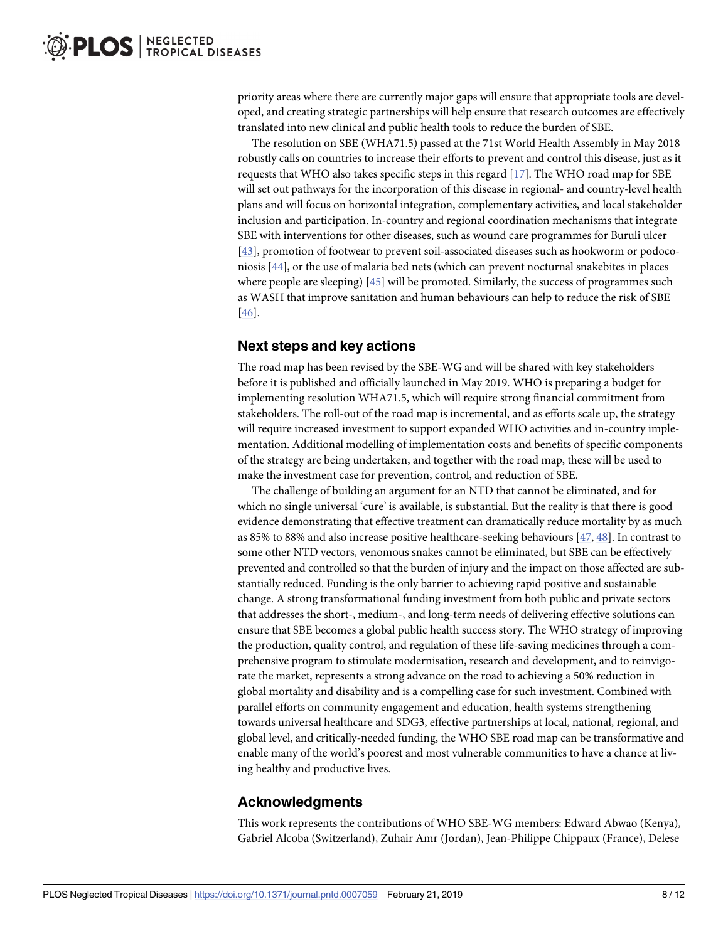<span id="page-7-0"></span>priority areas where there are currently major gaps will ensure that appropriate tools are developed, and creating strategic partnerships will help ensure that research outcomes are effectively translated into new clinical and public health tools to reduce the burden of SBE.

The resolution on SBE (WHA71.5) passed at the 71st World Health Assembly in May 2018 robustly calls on countries to increase their efforts to prevent and control this disease, just as it requests that WHO also takes specific steps in this regard  $[17]$ . The WHO road map for SBE will set out pathways for the incorporation of this disease in regional- and country-level health plans and will focus on horizontal integration, complementary activities, and local stakeholder inclusion and participation. In-country and regional coordination mechanisms that integrate SBE with interventions for other diseases, such as wound care programmes for Buruli ulcer [\[43\]](#page-10-0), promotion of footwear to prevent soil-associated diseases such as hookworm or podoconiosis [[44](#page-10-0)], or the use of malaria bed nets (which can prevent nocturnal snakebites in places where people are sleeping) [\[45\]](#page-10-0) will be promoted. Similarly, the success of programmes such as WASH that improve sanitation and human behaviours can help to reduce the risk of SBE [\[46\]](#page-10-0).

## **Next steps and key actions**

The road map has been revised by the SBE-WG and will be shared with key stakeholders before it is published and officially launched in May 2019. WHO is preparing a budget for implementing resolution WHA71.5, which will require strong financial commitment from stakeholders. The roll-out of the road map is incremental, and as efforts scale up, the strategy will require increased investment to support expanded WHO activities and in-country implementation. Additional modelling of implementation costs and benefits of specific components of the strategy are being undertaken, and together with the road map, these will be used to make the investment case for prevention, control, and reduction of SBE.

The challenge of building an argument for an NTD that cannot be eliminated, and for which no single universal 'cure' is available, is substantial. But the reality is that there is good evidence demonstrating that effective treatment can dramatically reduce mortality by as much as 85% to 88% and also increase positive healthcare-seeking behaviours [[47](#page-11-0), [48](#page-11-0)]. In contrast to some other NTD vectors, venomous snakes cannot be eliminated, but SBE can be effectively prevented and controlled so that the burden of injury and the impact on those affected are substantially reduced. Funding is the only barrier to achieving rapid positive and sustainable change. A strong transformational funding investment from both public and private sectors that addresses the short-, medium-, and long-term needs of delivering effective solutions can ensure that SBE becomes a global public health success story. The WHO strategy of improving the production, quality control, and regulation of these life-saving medicines through a comprehensive program to stimulate modernisation, research and development, and to reinvigorate the market, represents a strong advance on the road to achieving a 50% reduction in global mortality and disability and is a compelling case for such investment. Combined with parallel efforts on community engagement and education, health systems strengthening towards universal healthcare and SDG3, effective partnerships at local, national, regional, and global level, and critically-needed funding, the WHO SBE road map can be transformative and enable many of the world's poorest and most vulnerable communities to have a chance at living healthy and productive lives.

## **Acknowledgments**

This work represents the contributions of WHO SBE-WG members: Edward Abwao (Kenya), Gabriel Alcoba (Switzerland), Zuhair Amr (Jordan), Jean-Philippe Chippaux (France), Delese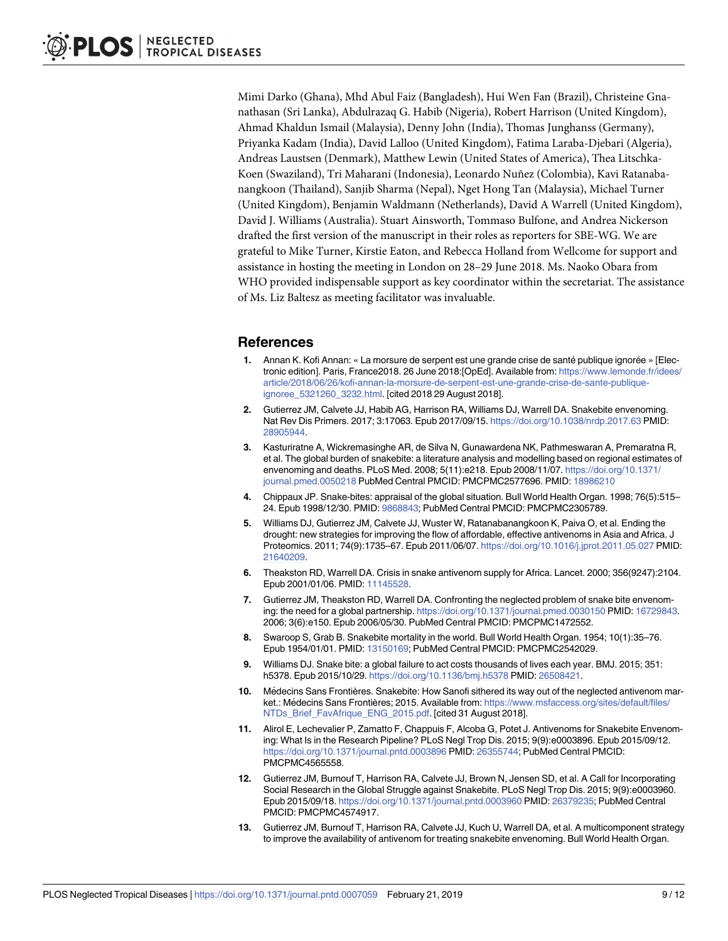<span id="page-8-0"></span>Mimi Darko (Ghana), Mhd Abul Faiz (Bangladesh), Hui Wen Fan (Brazil), Christeine Gnanathasan (Sri Lanka), Abdulrazaq G. Habib (Nigeria), Robert Harrison (United Kingdom), Ahmad Khaldun Ismail (Malaysia), Denny John (India), Thomas Junghanss (Germany), Priyanka Kadam (India), David Lalloo (United Kingdom), Fatima Laraba-Djebari (Algeria), Andreas Laustsen (Denmark), Matthew Lewin (United States of America), Thea Litschka-Koen (Swaziland), Tri Maharani (Indonesia), Leonardo Nuñez (Colombia), Kavi Ratanabanangkoon (Thailand), Sanjib Sharma (Nepal), Nget Hong Tan (Malaysia), Michael Turner (United Kingdom), Benjamin Waldmann (Netherlands), David A Warrell (United Kingdom), David J. Williams (Australia). Stuart Ainsworth, Tommaso Bulfone, and Andrea Nickerson drafted the first version of the manuscript in their roles as reporters for SBE-WG. We are grateful to Mike Turner, Kirstie Eaton, and Rebecca Holland from Wellcome for support and assistance in hosting the meeting in London on 28–29 June 2018. Ms. Naoko Obara from WHO provided indispensable support as key coordinator within the secretariat. The assistance of Ms. Liz Baltesz as meeting facilitator was invaluable.

## **References**

- **[1](#page-0-0).** Annan K. Kofi Annan: « La morsure de serpent est une grande crise de santé publique ignorée » [Electronic edition]. Paris, France2018. 26 June 2018:[OpEd]. Available from: [https://www.lemonde.fr/idees/](https://www.lemonde.fr/idees/article/2018/06/26/kofi-annan-la-morsure-de-serpent-est-une-grande-crise-de-sante-publique-ignoree_5321260_3232.html) [article/2018/06/26/kofi-annan-la-morsure-de-serpent-est-une-grande-crise-de-sante-publique](https://www.lemonde.fr/idees/article/2018/06/26/kofi-annan-la-morsure-de-serpent-est-une-grande-crise-de-sante-publique-ignoree_5321260_3232.html)[ignoree\\_5321260\\_3232.html](https://www.lemonde.fr/idees/article/2018/06/26/kofi-annan-la-morsure-de-serpent-est-une-grande-crise-de-sante-publique-ignoree_5321260_3232.html). [cited 2018 29 August 2018].
- **[2](#page-0-0).** Gutierrez JM, Calvete JJ, Habib AG, Harrison RA, Williams DJ, Warrell DA. Snakebite envenoming. Nat Rev Dis Primers. 2017; 3:17063. Epub 2017/09/15. <https://doi.org/10.1038/nrdp.2017.63> PMID: [28905944](http://www.ncbi.nlm.nih.gov/pubmed/28905944).
- **[3](#page-6-0).** Kasturiratne A, Wickremasinghe AR, de Silva N, Gunawardena NK, Pathmeswaran A, Premaratna R, et al. The global burden of snakebite: a literature analysis and modelling based on regional estimates of envenoming and deaths. PLoS Med. 2008; 5(11):e218. Epub 2008/11/07. [https://doi.org/10.1371/](https://doi.org/10.1371/journal.pmed.0050218) [journal.pmed.0050218](https://doi.org/10.1371/journal.pmed.0050218) PubMed Central PMCID: PMCPMC2577696. PMID: [18986210](http://www.ncbi.nlm.nih.gov/pubmed/18986210)
- **[4](#page-0-0).** Chippaux JP. Snake-bites: appraisal of the global situation. Bull World Health Organ. 1998; 76(5):515– 24. Epub 1998/12/30. PMID: [9868843;](http://www.ncbi.nlm.nih.gov/pubmed/9868843) PubMed Central PMCID: PMCPMC2305789.
- **[5](#page-0-0).** Williams DJ, Gutierrez JM, Calvete JJ, Wuster W, Ratanabanangkoon K, Paiva O, et al. Ending the drought: new strategies for improving the flow of affordable, effective antivenoms in Asia and Africa. J Proteomics. 2011; 74(9):1735–67. Epub 2011/06/07. <https://doi.org/10.1016/j.jprot.2011.05.027> PMID: [21640209](http://www.ncbi.nlm.nih.gov/pubmed/21640209).
- **[6](#page-0-0).** Theakston RD, Warrell DA. Crisis in snake antivenom supply for Africa. Lancet. 2000; 356(9247):2104. Epub 2001/01/06. PMID: [11145528.](http://www.ncbi.nlm.nih.gov/pubmed/11145528)
- **7.** Gutierrez JM, Theakston RD, Warrell DA. Confronting the neglected problem of snake bite envenoming: the need for a global partnership. <https://doi.org/10.1371/journal.pmed.0030150> PMID: [16729843.](http://www.ncbi.nlm.nih.gov/pubmed/16729843) 2006; 3(6):e150. Epub 2006/05/30. PubMed Central PMCID: PMCPMC1472552.
- **8.** Swaroop S, Grab B. Snakebite mortality in the world. Bull World Health Organ. 1954; 10(1):35–76. Epub 1954/01/01. PMID: [13150169;](http://www.ncbi.nlm.nih.gov/pubmed/13150169) PubMed Central PMCID: PMCPMC2542029.
- **[9](#page-0-0).** Williams DJ. Snake bite: a global failure to act costs thousands of lives each year. BMJ. 2015; 351: h5378. Epub 2015/10/29. <https://doi.org/10.1136/bmj.h5378> PMID: [26508421](http://www.ncbi.nlm.nih.gov/pubmed/26508421).
- **[10](#page-0-0).** Médecins Sans Frontières. Snakebite: How Sanofi sithered its way out of the neglected antivenom market.: Médecins Sans Frontières; 2015. Available from: [https://www.msfaccess.org/sites/default/files/](https://www.msfaccess.org/sites/default/files/NTDs_Brief_FavAfrique_ENG_2015.pdf) [NTDs\\_Brief\\_FavAfrique\\_ENG\\_2015.pdf](https://www.msfaccess.org/sites/default/files/NTDs_Brief_FavAfrique_ENG_2015.pdf). [cited 31 August 2018].
- **[11](#page-0-0).** Alirol E, Lechevalier P, Zamatto F, Chappuis F, Alcoba G, Potet J. Antivenoms for Snakebite Envenoming: What Is in the Research Pipeline? PLoS Negl Trop Dis. 2015; 9(9):e0003896. Epub 2015/09/12. <https://doi.org/10.1371/journal.pntd.0003896> PMID: [26355744](http://www.ncbi.nlm.nih.gov/pubmed/26355744); PubMed Central PMCID: PMCPMC4565558.
- **[12](#page-0-0).** Gutierrez JM, Burnouf T, Harrison RA, Calvete JJ, Brown N, Jensen SD, et al. A Call for Incorporating Social Research in the Global Struggle against Snakebite. PLoS Negl Trop Dis. 2015; 9(9):e0003960. Epub 2015/09/18. <https://doi.org/10.1371/journal.pntd.0003960> PMID: [26379235](http://www.ncbi.nlm.nih.gov/pubmed/26379235); PubMed Central PMCID: PMCPMC4574917.
- **13.** Gutierrez JM, Burnouf T, Harrison RA, Calvete JJ, Kuch U, Warrell DA, et al. A multicomponent strategy to improve the availability of antivenom for treating snakebite envenoming. Bull World Health Organ.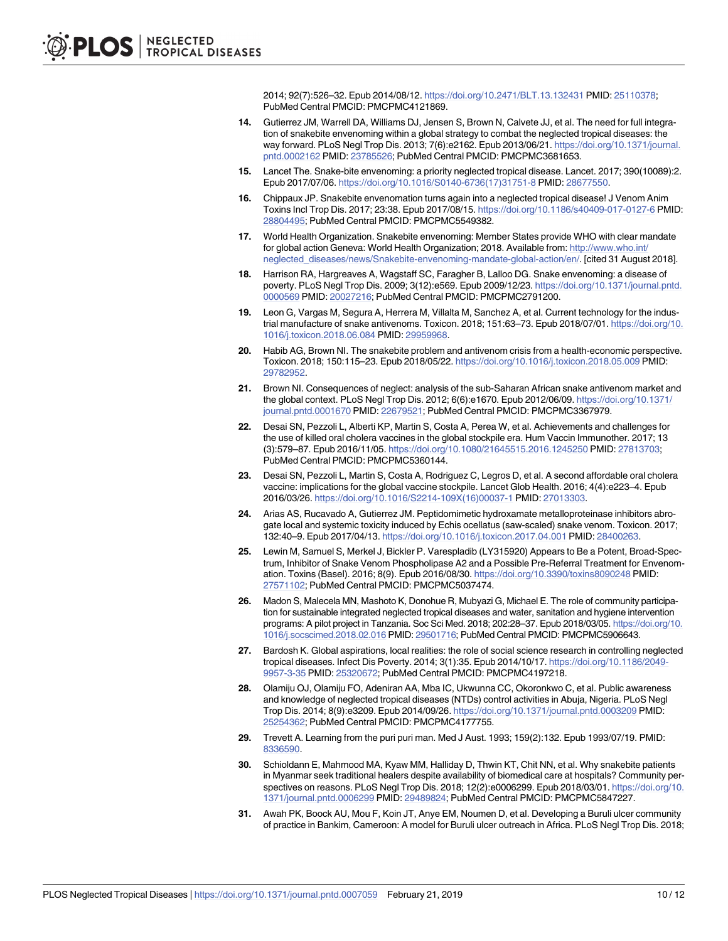2014; 92(7):526–32. Epub 2014/08/12. <https://doi.org/10.2471/BLT.13.132431> PMID: [25110378;](http://www.ncbi.nlm.nih.gov/pubmed/25110378) PubMed Central PMCID: PMCPMC4121869.

- <span id="page-9-0"></span>**[14](#page-0-0).** Gutierrez JM, Warrell DA, Williams DJ, Jensen S, Brown N, Calvete JJ, et al. The need for full integration of snakebite envenoming within a global strategy to combat the neglected tropical diseases: the way forward. PLoS Negl Trop Dis. 2013; 7(6):e2162. Epub 2013/06/21. [https://doi.org/10.1371/journal.](https://doi.org/10.1371/journal.pntd.0002162) [pntd.0002162](https://doi.org/10.1371/journal.pntd.0002162) PMID: [23785526](http://www.ncbi.nlm.nih.gov/pubmed/23785526); PubMed Central PMCID: PMCPMC3681653.
- **[15](#page-0-0).** Lancet The. Snake-bite envenoming: a priority neglected tropical disease. Lancet. 2017; 390(10089):2. Epub 2017/07/06. [https://doi.org/10.1016/S0140-6736\(17\)31751-8](https://doi.org/10.1016/S0140-6736(17)31751-8) PMID: [28677550](http://www.ncbi.nlm.nih.gov/pubmed/28677550).
- **[16](#page-0-0).** Chippaux JP. Snakebite envenomation turns again into a neglected tropical disease! J Venom Anim Toxins Incl Trop Dis. 2017; 23:38. Epub 2017/08/15. <https://doi.org/10.1186/s40409-017-0127-6> PMID: [28804495](http://www.ncbi.nlm.nih.gov/pubmed/28804495); PubMed Central PMCID: PMCPMC5549382.
- **[17](#page-1-0).** World Health Organization. Snakebite envenoming: Member States provide WHO with clear mandate for global action Geneva: World Health Organization; 2018. Available from: [http://www.who.int/](http://www.who.int/neglected_diseases/news/Snakebite-envenoming-mandate-global-action/en/) [neglected\\_diseases/news/Snakebite-envenoming-mandate-global-action/en/](http://www.who.int/neglected_diseases/news/Snakebite-envenoming-mandate-global-action/en/). [cited 31 August 2018].
- **[18](#page-1-0).** Harrison RA, Hargreaves A, Wagstaff SC, Faragher B, Lalloo DG. Snake envenoming: a disease of poverty. PLoS Negl Trop Dis. 2009; 3(12):e569. Epub 2009/12/23. [https://doi.org/10.1371/journal.pntd.](https://doi.org/10.1371/journal.pntd.0000569) [0000569](https://doi.org/10.1371/journal.pntd.0000569) PMID: [20027216](http://www.ncbi.nlm.nih.gov/pubmed/20027216); PubMed Central PMCID: PMCPMC2791200.
- **[19](#page-1-0).** Leon G, Vargas M, Segura A, Herrera M, Villalta M, Sanchez A, et al. Current technology for the industrial manufacture of snake antivenoms. Toxicon. 2018; 151:63–73. Epub 2018/07/01. [https://doi.org/10.](https://doi.org/10.1016/j.toxicon.2018.06.084) [1016/j.toxicon.2018.06.084](https://doi.org/10.1016/j.toxicon.2018.06.084) PMID: [29959968](http://www.ncbi.nlm.nih.gov/pubmed/29959968).
- **[20](#page-1-0).** Habib AG, Brown NI. The snakebite problem and antivenom crisis from a health-economic perspective. Toxicon. 2018; 150:115–23. Epub 2018/05/22. <https://doi.org/10.1016/j.toxicon.2018.05.009> PMID: [29782952](http://www.ncbi.nlm.nih.gov/pubmed/29782952).
- **[21](#page-1-0).** Brown NI. Consequences of neglect: analysis of the sub-Saharan African snake antivenom market and the global context. PLoS Negl Trop Dis. 2012; 6(6):e1670. Epub 2012/06/09. [https://doi.org/10.1371/](https://doi.org/10.1371/journal.pntd.0001670) [journal.pntd.0001670](https://doi.org/10.1371/journal.pntd.0001670) PMID: [22679521;](http://www.ncbi.nlm.nih.gov/pubmed/22679521) PubMed Central PMCID: PMCPMC3367979.
- **[22](#page-3-0).** Desai SN, Pezzoli L, Alberti KP, Martin S, Costa A, Perea W, et al. Achievements and challenges for the use of killed oral cholera vaccines in the global stockpile era. Hum Vaccin Immunother. 2017; 13 (3):579–87. Epub 2016/11/05. <https://doi.org/10.1080/21645515.2016.1245250> PMID: [27813703;](http://www.ncbi.nlm.nih.gov/pubmed/27813703) PubMed Central PMCID: PMCPMC5360144.
- **[23](#page-3-0).** Desai SN, Pezzoli L, Martin S, Costa A, Rodriguez C, Legros D, et al. A second affordable oral cholera vaccine: implications for the global vaccine stockpile. Lancet Glob Health. 2016; 4(4):e223–4. Epub 2016/03/26. [https://doi.org/10.1016/S2214-109X\(16\)00037-1](https://doi.org/10.1016/S2214-109X(16)00037-1) PMID: [27013303](http://www.ncbi.nlm.nih.gov/pubmed/27013303).
- **[24](#page-3-0).** Arias AS, Rucavado A, Gutierrez JM. Peptidomimetic hydroxamate metalloproteinase inhibitors abrogate local and systemic toxicity induced by Echis ocellatus (saw-scaled) snake venom. Toxicon. 2017; 132:40–9. Epub 2017/04/13. <https://doi.org/10.1016/j.toxicon.2017.04.001> PMID: [28400263](http://www.ncbi.nlm.nih.gov/pubmed/28400263).
- **[25](#page-3-0).** Lewin M, Samuel S, Merkel J, Bickler P. Varespladib (LY315920) Appears to Be a Potent, Broad-Spectrum, Inhibitor of Snake Venom Phospholipase A2 and a Possible Pre-Referral Treatment for Envenomation. Toxins (Basel). 2016; 8(9). Epub 2016/08/30. <https://doi.org/10.3390/toxins8090248> PMID: [27571102](http://www.ncbi.nlm.nih.gov/pubmed/27571102); PubMed Central PMCID: PMCPMC5037474.
- **[26](#page-5-0).** Madon S, Malecela MN, Mashoto K, Donohue R, Mubyazi G, Michael E. The role of community participation for sustainable integrated neglected tropical diseases and water, sanitation and hygiene intervention programs: A pilot project in Tanzania. Soc Sci Med. 2018; 202:28–37. Epub 2018/03/05. [https://doi.org/10.](https://doi.org/10.1016/j.socscimed.2018.02.016) [1016/j.socscimed.2018.02.016](https://doi.org/10.1016/j.socscimed.2018.02.016) PMID: [29501716;](http://www.ncbi.nlm.nih.gov/pubmed/29501716) PubMed Central PMCID: PMCPMC5906643.
- **27.** Bardosh K. Global aspirations, local realities: the role of social science research in controlling neglected tropical diseases. Infect Dis Poverty. 2014; 3(1):35. Epub 2014/10/17. [https://doi.org/10.1186/2049-](https://doi.org/10.1186/2049-9957-3-35) [9957-3-35](https://doi.org/10.1186/2049-9957-3-35) PMID: [25320672;](http://www.ncbi.nlm.nih.gov/pubmed/25320672) PubMed Central PMCID: PMCPMC4197218.
- **[28](#page-5-0).** Olamiju OJ, Olamiju FO, Adeniran AA, Mba IC, Ukwunna CC, Okoronkwo C, et al. Public awareness and knowledge of neglected tropical diseases (NTDs) control activities in Abuja, Nigeria. PLoS Negl Trop Dis. 2014; 8(9):e3209. Epub 2014/09/26. <https://doi.org/10.1371/journal.pntd.0003209> PMID: [25254362](http://www.ncbi.nlm.nih.gov/pubmed/25254362); PubMed Central PMCID: PMCPMC4177755.
- **[29](#page-5-0).** Trevett A. Learning from the puri puri man. Med J Aust. 1993; 159(2):132. Epub 1993/07/19. PMID: [8336590](http://www.ncbi.nlm.nih.gov/pubmed/8336590).
- **[30](#page-5-0).** Schioldann E, Mahmood MA, Kyaw MM, Halliday D, Thwin KT, Chit NN, et al. Why snakebite patients in Myanmar seek traditional healers despite availability of biomedical care at hospitals? Community perspectives on reasons. PLoS Negl Trop Dis. 2018; 12(2):e0006299. Epub 2018/03/01. [https://doi.org/10.](https://doi.org/10.1371/journal.pntd.0006299) [1371/journal.pntd.0006299](https://doi.org/10.1371/journal.pntd.0006299) PMID: [29489824](http://www.ncbi.nlm.nih.gov/pubmed/29489824); PubMed Central PMCID: PMCPMC5847227.
- **[31](#page-5-0).** Awah PK, Boock AU, Mou F, Koin JT, Anye EM, Noumen D, et al. Developing a Buruli ulcer community of practice in Bankim, Cameroon: A model for Buruli ulcer outreach in Africa. PLoS Negl Trop Dis. 2018;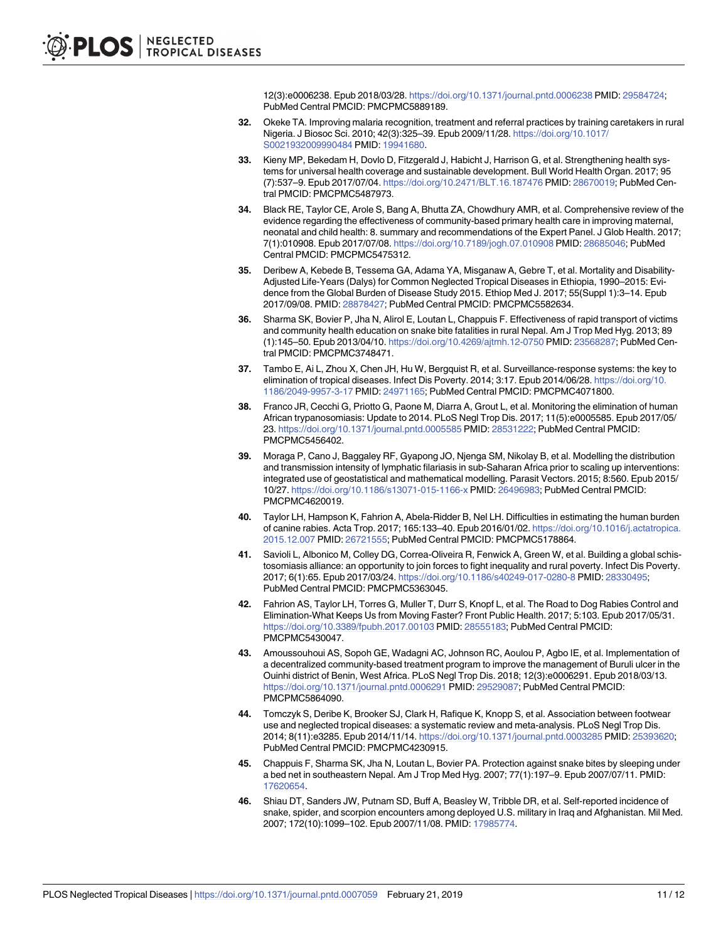12(3):e0006238. Epub 2018/03/28. <https://doi.org/10.1371/journal.pntd.0006238> PMID: [29584724;](http://www.ncbi.nlm.nih.gov/pubmed/29584724) PubMed Central PMCID: PMCPMC5889189.

- <span id="page-10-0"></span>**[32](#page-5-0).** Okeke TA. Improving malaria recognition, treatment and referral practices by training caretakers in rural Nigeria. J Biosoc Sci. 2010; 42(3):325–39. Epub 2009/11/28. [https://doi.org/10.1017/](https://doi.org/10.1017/S0021932009990484) [S0021932009990484](https://doi.org/10.1017/S0021932009990484) PMID: [19941680](http://www.ncbi.nlm.nih.gov/pubmed/19941680).
- **[33](#page-6-0).** Kieny MP, Bekedam H, Dovlo D, Fitzgerald J, Habicht J, Harrison G, et al. Strengthening health systems for universal health coverage and sustainable development. Bull World Health Organ. 2017; 95 (7):537–9. Epub 2017/07/04. <https://doi.org/10.2471/BLT.16.187476> PMID: [28670019](http://www.ncbi.nlm.nih.gov/pubmed/28670019); PubMed Central PMCID: PMCPMC5487973.
- **[34](#page-6-0).** Black RE, Taylor CE, Arole S, Bang A, Bhutta ZA, Chowdhury AMR, et al. Comprehensive review of the evidence regarding the effectiveness of community-based primary health care in improving maternal, neonatal and child health: 8. summary and recommendations of the Expert Panel. J Glob Health. 2017; 7(1):010908. Epub 2017/07/08. <https://doi.org/10.7189/jogh.07.010908> PMID: [28685046](http://www.ncbi.nlm.nih.gov/pubmed/28685046); PubMed Central PMCID: PMCPMC5475312.
- **[35](#page-6-0).** Deribew A, Kebede B, Tessema GA, Adama YA, Misganaw A, Gebre T, et al. Mortality and Disability-Adjusted Life-Years (Dalys) for Common Neglected Tropical Diseases in Ethiopia, 1990–2015: Evidence from the Global Burden of Disease Study 2015. Ethiop Med J. 2017; 55(Suppl 1):3–14. Epub 2017/09/08. PMID: [28878427](http://www.ncbi.nlm.nih.gov/pubmed/28878427); PubMed Central PMCID: PMCPMC5582634.
- **[36](#page-6-0).** Sharma SK, Bovier P, Jha N, Alirol E, Loutan L, Chappuis F. Effectiveness of rapid transport of victims and community health education on snake bite fatalities in rural Nepal. Am J Trop Med Hyg. 2013; 89 (1):145–50. Epub 2013/04/10. <https://doi.org/10.4269/ajtmh.12-0750> PMID: [23568287](http://www.ncbi.nlm.nih.gov/pubmed/23568287); PubMed Central PMCID: PMCPMC3748471.
- **[37](#page-6-0).** Tambo E, Ai L, Zhou X, Chen JH, Hu W, Bergquist R, et al. Surveillance-response systems: the key to elimination of tropical diseases. Infect Dis Poverty. 2014; 3:17. Epub 2014/06/28. [https://doi.org/10.](https://doi.org/10.1186/2049-9957-3-17) [1186/2049-9957-3-17](https://doi.org/10.1186/2049-9957-3-17) PMID: [24971165](http://www.ncbi.nlm.nih.gov/pubmed/24971165); PubMed Central PMCID: PMCPMC4071800.
- **[38](#page-6-0).** Franco JR, Cecchi G, Priotto G, Paone M, Diarra A, Grout L, et al. Monitoring the elimination of human African trypanosomiasis: Update to 2014. PLoS Negl Trop Dis. 2017; 11(5):e0005585. Epub 2017/05/ 23. <https://doi.org/10.1371/journal.pntd.0005585> PMID: [28531222;](http://www.ncbi.nlm.nih.gov/pubmed/28531222) PubMed Central PMCID: PMCPMC5456402.
- **39.** Moraga P, Cano J, Baggaley RF, Gyapong JO, Njenga SM, Nikolay B, et al. Modelling the distribution and transmission intensity of lymphatic filariasis in sub-Saharan Africa prior to scaling up interventions: integrated use of geostatistical and mathematical modelling. Parasit Vectors. 2015; 8:560. Epub 2015/ 10/27. <https://doi.org/10.1186/s13071-015-1166-x> PMID: [26496983](http://www.ncbi.nlm.nih.gov/pubmed/26496983); PubMed Central PMCID: PMCPMC4620019.
- **[40](#page-6-0).** Taylor LH, Hampson K, Fahrion A, Abela-Ridder B, Nel LH. Difficulties in estimating the human burden of canine rabies. Acta Trop. 2017; 165:133–40. Epub 2016/01/02. [https://doi.org/10.1016/j.actatropica.](https://doi.org/10.1016/j.actatropica.2015.12.007) [2015.12.007](https://doi.org/10.1016/j.actatropica.2015.12.007) PMID: [26721555;](http://www.ncbi.nlm.nih.gov/pubmed/26721555) PubMed Central PMCID: PMCPMC5178864.
- **[41](#page-6-0).** Savioli L, Albonico M, Colley DG, Correa-Oliveira R, Fenwick A, Green W, et al. Building a global schistosomiasis alliance: an opportunity to join forces to fight inequality and rural poverty. Infect Dis Poverty. 2017; 6(1):65. Epub 2017/03/24. <https://doi.org/10.1186/s40249-017-0280-8> PMID: [28330495;](http://www.ncbi.nlm.nih.gov/pubmed/28330495) PubMed Central PMCID: PMCPMC5363045.
- **[42](#page-6-0).** Fahrion AS, Taylor LH, Torres G, Muller T, Durr S, Knopf L, et al. The Road to Dog Rabies Control and Elimination-What Keeps Us from Moving Faster? Front Public Health. 2017; 5:103. Epub 2017/05/31. <https://doi.org/10.3389/fpubh.2017.00103> PMID: [28555183;](http://www.ncbi.nlm.nih.gov/pubmed/28555183) PubMed Central PMCID: PMCPMC5430047.
- **[43](#page-7-0).** Amoussouhoui AS, Sopoh GE, Wadagni AC, Johnson RC, Aoulou P, Agbo IE, et al. Implementation of a decentralized community-based treatment program to improve the management of Buruli ulcer in the Ouinhi district of Benin, West Africa. PLoS Negl Trop Dis. 2018; 12(3):e0006291. Epub 2018/03/13. <https://doi.org/10.1371/journal.pntd.0006291> PMID: [29529087](http://www.ncbi.nlm.nih.gov/pubmed/29529087); PubMed Central PMCID: PMCPMC5864090.
- **[44](#page-7-0).** Tomczyk S, Deribe K, Brooker SJ, Clark H, Rafique K, Knopp S, et al. Association between footwear use and neglected tropical diseases: a systematic review and meta-analysis. PLoS Negl Trop Dis. 2014; 8(11):e3285. Epub 2014/11/14. <https://doi.org/10.1371/journal.pntd.0003285> PMID: [25393620](http://www.ncbi.nlm.nih.gov/pubmed/25393620); PubMed Central PMCID: PMCPMC4230915.
- **[45](#page-7-0).** Chappuis F, Sharma SK, Jha N, Loutan L, Bovier PA. Protection against snake bites by sleeping under a bed net in southeastern Nepal. Am J Trop Med Hyg. 2007; 77(1):197–9. Epub 2007/07/11. PMID: [17620654](http://www.ncbi.nlm.nih.gov/pubmed/17620654).
- **[46](#page-7-0).** Shiau DT, Sanders JW, Putnam SD, Buff A, Beasley W, Tribble DR, et al. Self-reported incidence of snake, spider, and scorpion encounters among deployed U.S. military in Iraq and Afghanistan. Mil Med. 2007; 172(10):1099–102. Epub 2007/11/08. PMID: [17985774](http://www.ncbi.nlm.nih.gov/pubmed/17985774).